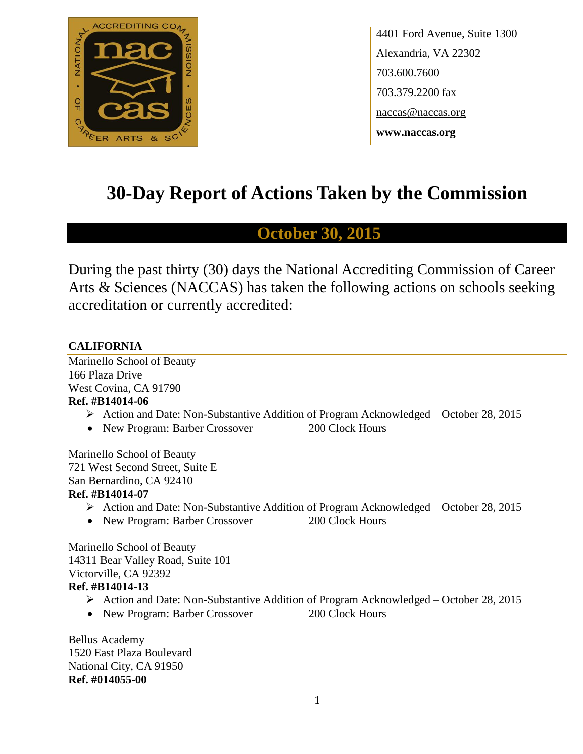

4401 Ford Avenue, Suite 1300 Alexandria, VA 22302 703.600.7600 703.379.2200 fax naccas@naccas.org **www.naccas.org**

# **30-Day Report of Actions Taken by the Commission**

## **October 30, 2015**

During the past thirty (30) days the National Accrediting Commission of Career Arts & Sciences (NACCAS) has taken the following actions on schools seeking accreditation or currently accredited:

### **CALIFORNIA**

Marinello School of Beauty 166 Plaza Drive West Covina, CA 91790 **Ref. #B14014-06**

- Action and Date: Non-Substantive Addition of Program Acknowledged October 28, 2015
- New Program: Barber Crossover 200 Clock Hours

Marinello School of Beauty 721 West Second Street, Suite E San Bernardino, CA 92410

### **Ref. #B14014-07**

- Action and Date: Non-Substantive Addition of Program Acknowledged October 28, 2015
- New Program: Barber Crossover 200 Clock Hours

Marinello School of Beauty 14311 Bear Valley Road, Suite 101 Victorville, CA 92392 **Ref. #B14014-13**

- Action and Date: Non-Substantive Addition of Program Acknowledged October 28, 2015
- New Program: Barber Crossover 200 Clock Hours

Bellus Academy 1520 East Plaza Boulevard National City, CA 91950 **Ref. #014055-00**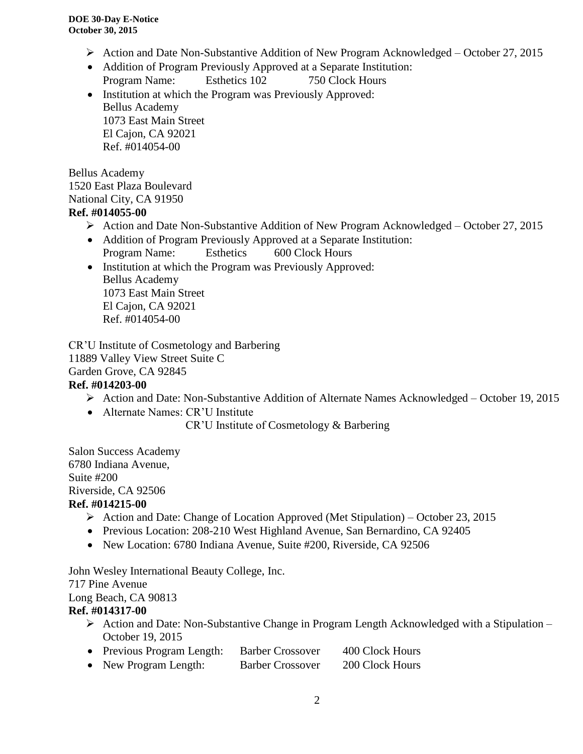- Action and Date Non-Substantive Addition of New Program Acknowledged October 27, 2015
- Addition of Program Previously Approved at a Separate Institution: Program Name: Esthetics 102 750 Clock Hours
- Institution at which the Program was Previously Approved: Bellus Academy 1073 East Main Street El Cajon, CA 92021 Ref. #014054-00

Bellus Academy 1520 East Plaza Boulevard National City, CA 91950 **Ref. #014055-00**

- Action and Date Non-Substantive Addition of New Program Acknowledged October 27, 2015
- Addition of Program Previously Approved at a Separate Institution: Program Name: Esthetics 600 Clock Hours
- Institution at which the Program was Previously Approved: Bellus Academy 1073 East Main Street El Cajon, CA 92021 Ref. #014054-00

CR'U Institute of Cosmetology and Barbering 11889 Valley View Street Suite C Garden Grove, CA 92845

### **Ref. #014203-00**

- Action and Date: Non-Substantive Addition of Alternate Names Acknowledged October 19, 2015
- Alternate Names: CR'U Institute

CR'U Institute of Cosmetology & Barbering

Salon Success Academy 6780 Indiana Avenue, Suite #200 Riverside, CA 92506 **Ref. #014215-00**

- $\triangleright$  Action and Date: Change of Location Approved (Met Stipulation) October 23, 2015
- Previous Location: 208-210 West Highland Avenue, San Bernardino, CA 92405
- New Location: 6780 Indiana Avenue, Suite #200, Riverside, CA 92506

John Wesley International Beauty College, Inc. 717 Pine Avenue

Long Beach, CA 90813

### **Ref. #014317-00**

- $\triangleright$  Action and Date: Non-Substantive Change in Program Length Acknowledged with a Stipulation October 19, 2015
- Previous Program Length: Barber Crossover 400 Clock Hours
- New Program Length: Barber Crossover 200 Clock Hours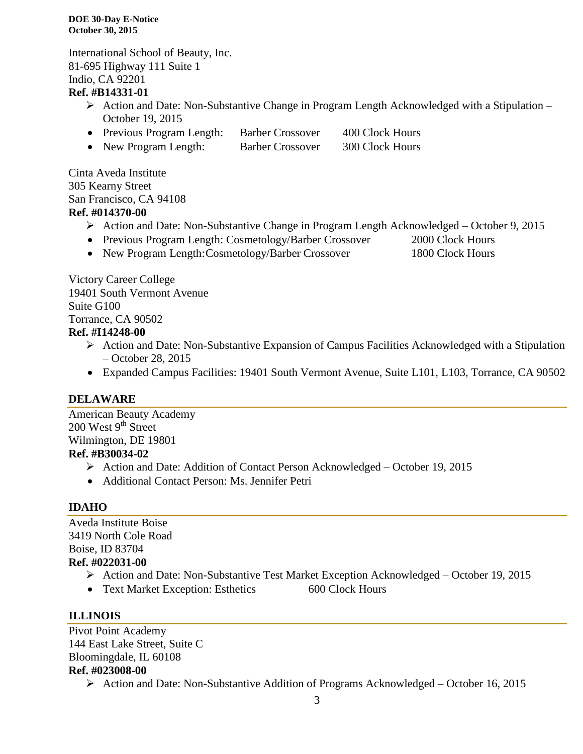**DOE 30-Day E-Notice October 30, 2015**

International School of Beauty, Inc. 81-695 Highway 111 Suite 1 Indio, CA 92201

### **Ref. #B14331-01**

- $\triangleright$  Action and Date: Non-Substantive Change in Program Length Acknowledged with a Stipulation October 19, 2015
- Previous Program Length: Barber Crossover 400 Clock Hours
- New Program Length: Barber Crossover 300 Clock Hours

Cinta Aveda Institute 305 Kearny Street San Francisco, CA 94108 **Ref. #014370-00**

- Action and Date: Non-Substantive Change in Program Length Acknowledged October 9, 2015
- Previous Program Length: Cosmetology/Barber Crossover 2000 Clock Hours
- New Program Length: Cosmetology/Barber Crossover 1800 Clock Hours

Victory Career College 19401 South Vermont Avenue Suite G100 Torrance, CA 90502 **Ref. #I14248-00**

- Action and Date: Non-Substantive Expansion of Campus Facilities Acknowledged with a Stipulation – October 28, 2015
- Expanded Campus Facilities: 19401 South Vermont Avenue, Suite L101, L103, Torrance, CA 90502

### **DELAWARE**

American Beauty Academy  $200$  West  $9<sup>th</sup>$  Street Wilmington, DE 19801

## **Ref. #B30034-02**

- Action and Date: Addition of Contact Person Acknowledged October 19, 2015
- Additional Contact Person: Ms. Jennifer Petri

### **IDAHO**

Aveda Institute Boise 3419 North Cole Road Boise, ID 83704 **Ref. #022031-00**

- Action and Date: Non-Substantive Test Market Exception Acknowledged October 19, 2015
- Text Market Exception: Esthetics 600 Clock Hours

### **ILLINOIS**

Pivot Point Academy 144 East Lake Street, Suite C Bloomingdale, IL 60108 **Ref. #023008-00**

 $\triangleright$  Action and Date: Non-Substantive Addition of Programs Acknowledged – October 16, 2015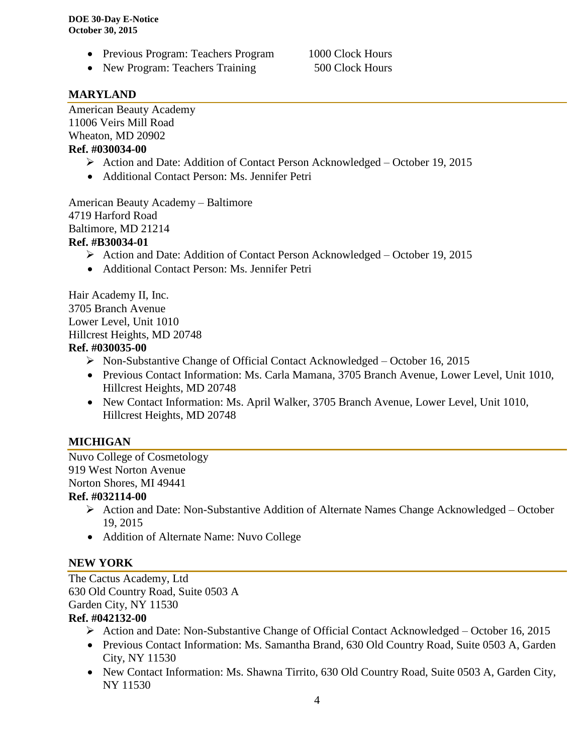- Previous Program: Teachers Program 1000 Clock Hours
- New Program: Teachers Training 500 Clock Hours

### **MARYLAND**

American Beauty Academy 11006 Veirs Mill Road Wheaton, MD 20902 **Ref. #030034-00**

- Action and Date: Addition of Contact Person Acknowledged October 19, 2015
- Additional Contact Person: Ms. Jennifer Petri

American Beauty Academy – Baltimore 4719 Harford Road Baltimore, MD 21214 **Ref. #B30034-01**

- Action and Date: Addition of Contact Person Acknowledged October 19, 2015
- Additional Contact Person: Ms. Jennifer Petri

Hair Academy II, Inc. 3705 Branch Avenue Lower Level, Unit 1010 Hillcrest Heights, MD 20748 **Ref. #030035-00**

- Non-Substantive Change of Official Contact Acknowledged October 16, 2015
- Previous Contact Information: Ms. Carla Mamana, 3705 Branch Avenue, Lower Level, Unit 1010, Hillcrest Heights, MD 20748
- New Contact Information: Ms. April Walker, 3705 Branch Avenue, Lower Level, Unit 1010, Hillcrest Heights, MD 20748

### **MICHIGAN**

Nuvo College of Cosmetology 919 West Norton Avenue Norton Shores, MI 49441

### **Ref. #032114-00**

- $\triangleright$  Action and Date: Non-Substantive Addition of Alternate Names Change Acknowledged October 19, 2015
- Addition of Alternate Name: Nuvo College

### **NEW YORK**

The Cactus Academy, Ltd 630 Old Country Road, Suite 0503 A Garden City, NY 11530 **Ref. #042132-00**

### $\triangleright$  Action and Date: Non-Substantive Change of Official Contact Acknowledged – October 16, 2015

- Previous Contact Information: Ms. Samantha Brand, 630 Old Country Road, Suite 0503 A, Garden City, NY 11530
- New Contact Information: Ms. Shawna Tirrito, 630 Old Country Road, Suite 0503 A, Garden City, NY 11530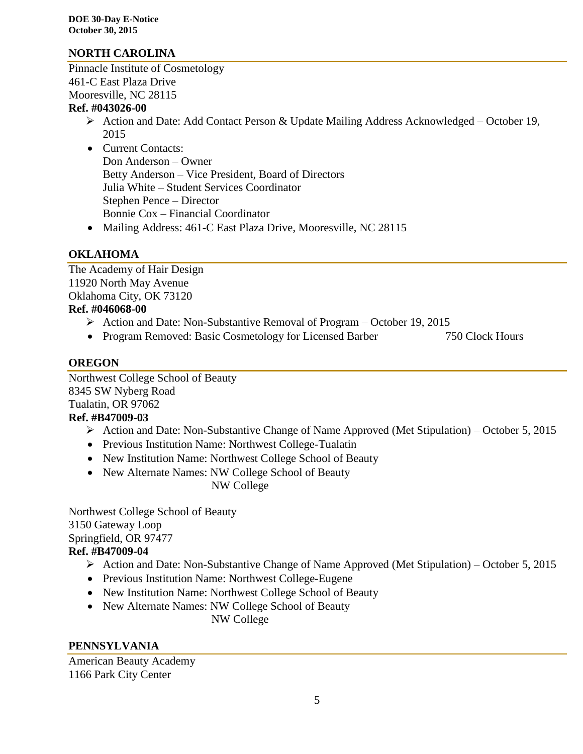**DOE 30-Day E-Notice October 30, 2015**

### **NORTH CAROLINA**

Pinnacle Institute of Cosmetology 461-C East Plaza Drive Mooresville, NC 28115

#### **Ref. #043026-00**

- Action and Date: Add Contact Person & Update Mailing Address Acknowledged October 19, 2015
- Current Contacts: Don Anderson – Owner Betty Anderson – Vice President, Board of Directors Julia White – Student Services Coordinator Stephen Pence – Director Bonnie Cox – Financial Coordinator
- Mailing Address: 461-C East Plaza Drive, Mooresville, NC 28115

### **OKLAHOMA**

The Academy of Hair Design 11920 North May Avenue Oklahoma City, OK 73120 **Ref. #046068-00** 

- Action and Date: Non-Substantive Removal of Program October 19, 2015
- Program Removed: Basic Cosmetology for Licensed Barber 750 Clock Hours

### **OREGON**

Northwest College School of Beauty 8345 SW Nyberg Road Tualatin, OR 97062

### **Ref. #B47009-03**

- $\triangleright$  Action and Date: Non-Substantive Change of Name Approved (Met Stipulation) October 5, 2015
- Previous Institution Name: Northwest College-Tualatin
- New Institution Name: Northwest College School of Beauty
- New Alternate Names: NW College School of Beauty

NW College

Northwest College School of Beauty 3150 Gateway Loop Springfield, OR 97477 **Ref. #B47009-04**

## Action and Date: Non-Substantive Change of Name Approved (Met Stipulation) – October 5, 2015

- Previous Institution Name: Northwest College-Eugene
- New Institution Name: Northwest College School of Beauty
- New Alternate Names: NW College School of Beauty

NW College

## **PENNSYLVANIA**

American Beauty Academy 1166 Park City Center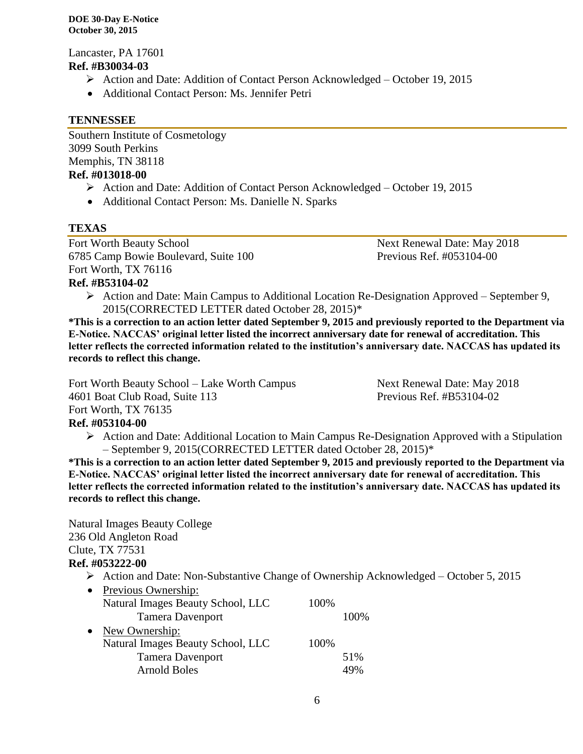#### **DOE 30-Day E-Notice October 30, 2015**

Lancaster, PA 17601 **Ref. #B30034-03**

- Action and Date: Addition of Contact Person Acknowledged October 19, 2015
- Additional Contact Person: Ms. Jennifer Petri

### **TENNESSEE**

Southern Institute of Cosmetology 3099 South Perkins Memphis, TN 38118 **Ref. #013018-00**

- Action and Date: Addition of Contact Person Acknowledged October 19, 2015
- Additional Contact Person: Ms. Danielle N. Sparks

### **TEXAS**

Fort Worth Beauty School Next Renewal Date: May 2018 6785 Camp Bowie Boulevard, Suite 100 Previous Ref. #053104-00 Fort Worth, TX 76116

**Ref. #B53104-02**

 $\triangleright$  Action and Date: Main Campus to Additional Location Re-Designation Approved – September 9, 2015(CORRECTED LETTER dated October 28, 2015)\*

**\*This is a correction to an action letter dated September 9, 2015 and previously reported to the Department via E-Notice. NACCAS' original letter listed the incorrect anniversary date for renewal of accreditation. This letter reflects the corrected information related to the institution's anniversary date. NACCAS has updated its records to reflect this change.**

Fort Worth Beauty School – Lake Worth Campus Next Renewal Date: May 2018 4601 Boat Club Road, Suite 113 Previous Ref. #B53104-02 Fort Worth, TX 76135

### **Ref. #053104-00**

 $\triangleright$  Action and Date: Additional Location to Main Campus Re-Designation Approved with a Stipulation – September 9, 2015(CORRECTED LETTER dated October 28, 2015)\*

**\*This is a correction to an action letter dated September 9, 2015 and previously reported to the Department via E-Notice. NACCAS' original letter listed the incorrect anniversary date for renewal of accreditation. This letter reflects the corrected information related to the institution's anniversary date. NACCAS has updated its records to reflect this change.**

Natural Images Beauty College 236 Old Angleton Road Clute, TX 77531 **Ref. #053222-00**

Action and Date: Non-Substantive Change of Ownership Acknowledged – October 5, 2015

| $\bullet$ | Previous Ownership:               |      |              |
|-----------|-----------------------------------|------|--------------|
|           | Natural Images Beauty School, LLC | 100% |              |
|           | <b>Tamera Davenport</b>           |      | 100\%        |
| $\bullet$ | New Ownership:                    |      |              |
|           | Natural Images Beauty School, LLC | 100% |              |
|           | <b>Tamera Davenport</b>           |      | 51%          |
|           | <b>Arnold Boles</b>               |      | $\Delta Q_0$ |
|           |                                   |      |              |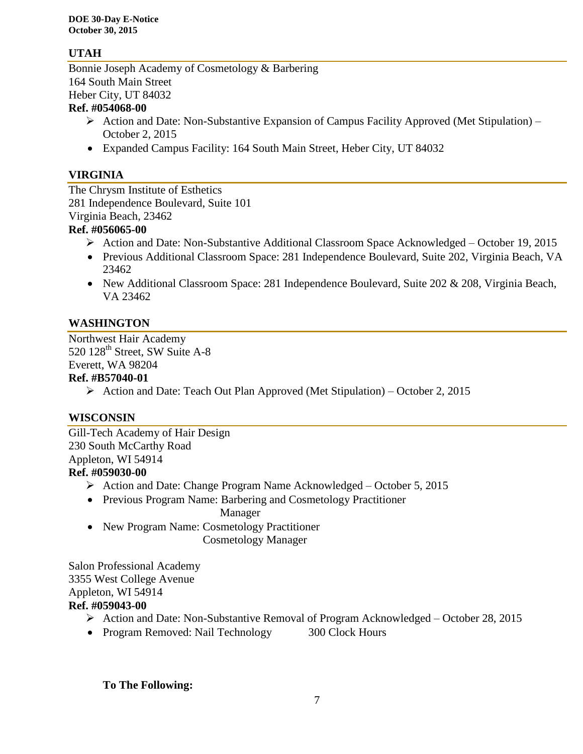## **UTAH**

Bonnie Joseph Academy of Cosmetology & Barbering 164 South Main Street Heber City, UT 84032

### **Ref. #054068-00**

- $\triangleright$  Action and Date: Non-Substantive Expansion of Campus Facility Approved (Met Stipulation) October 2, 2015
- Expanded Campus Facility: 164 South Main Street, Heber City, UT 84032

### **VIRGINIA**

The Chrysm Institute of Esthetics 281 Independence Boulevard, Suite 101 Virginia Beach, 23462

### **Ref. #056065-00**

- Action and Date: Non-Substantive Additional Classroom Space Acknowledged October 19, 2015
- Previous Additional Classroom Space: 281 Independence Boulevard, Suite 202, Virginia Beach, VA 23462
- New Additional Classroom Space: 281 Independence Boulevard, Suite 202 & 208, Virginia Beach, VA 23462

## **WASHINGTON**

Northwest Hair Academy 520 128<sup>th</sup> Street, SW Suite A-8 Everett, WA 98204

### **Ref. #B57040-01**

Action and Date: Teach Out Plan Approved (Met Stipulation) – October 2, 2015

### **WISCONSIN**

Gill-Tech Academy of Hair Design 230 South McCarthy Road Appleton, WI 54914 **Ref. #059030-00**

- $\triangleright$  Action and Date: Change Program Name Acknowledged October 5, 2015
- Previous Program Name: Barbering and Cosmetology Practitioner

Manager

 New Program Name: Cosmetology Practitioner Cosmetology Manager

Salon Professional Academy 3355 West College Avenue Appleton, WI 54914 **Ref. #059043-00**

- Action and Date: Non-Substantive Removal of Program Acknowledged October 28, 2015
- Program Removed: Nail Technology 300 Clock Hours

**To The Following:**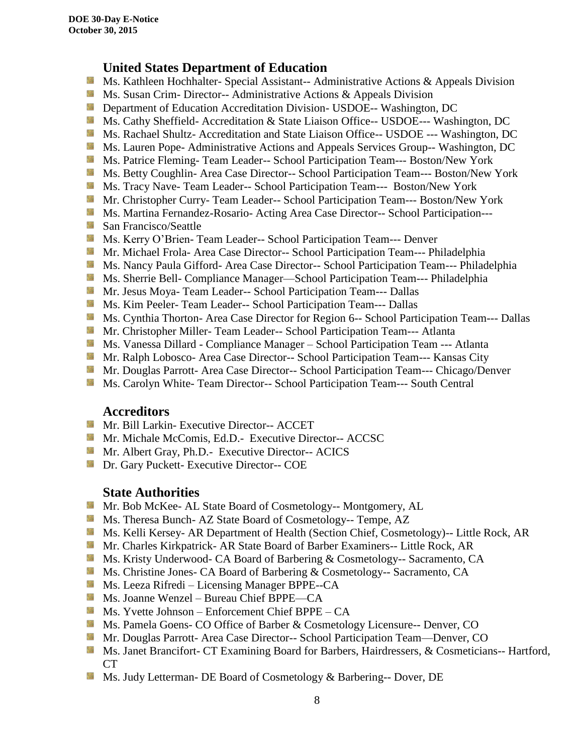## **United States Department of Education**

- **Ms. Kathleen Hochhalter- Special Assistant-- Administrative Actions & Appeals Division**
- **Ms.** Susan Crim-Director-- Administrative Actions  $\&$  Appeals Division
- **External Department of Education Accreditation Division- USDOE-- Washington, DC**
- Ms. Cathy Sheffield- Accreditation & State Liaison Office-- USDOE--- Washington, DC
- Ms. Rachael Shultz- Accreditation and State Liaison Office-- USDOE --- Washington, DC
- **Ms. Lauren Pope- Administrative Actions and Appeals Services Group-- Washington, DC**
- Ms. Patrice Fleming- Team Leader-- School Participation Team--- Boston/New York
- Ms. Betty Coughlin- Area Case Director-- School Participation Team--- Boston/New York
- Ms. Tracy Nave- Team Leader-- School Participation Team--- Boston/New York
- Mr. Christopher Curry- Team Leader-- School Participation Team--- Boston/New York
- **Ms. Martina Fernandez-Rosario- Acting Area Case Director-- School Participation---**
- San Francisco/Seattle
- Ms. Kerry O'Brien- Team Leader-- School Participation Team--- Denver
- **Mr. Michael Frola- Area Case Director-- School Participation Team--- Philadelphia**
- **Ms. Nancy Paula Gifford- Area Case Director-- School Participation Team--- Philadelphia**
- Ms. Sherrie Bell- Compliance Manager—School Participation Team--- Philadelphia
- Mr. Jesus Moya- Team Leader-- School Participation Team--- Dallas
- **MS. Kim Peeler-Team Leader-- School Participation Team--- Dallas**
- **Ms. Cynthia Thorton- Area Case Director for Region 6-- School Participation Team--- Dallas**
- **Mr. Christopher Miller-Team Leader-- School Participation Team--- Atlanta**
- **Ms. Vanessa Dillard Compliance Manager School Participation Team --- Atlanta**
- Mr. Ralph Lobosco- Area Case Director-- School Participation Team--- Kansas City
- Mr. Douglas Parrott- Area Case Director-- School Participation Team--- Chicago/Denver
- **Ms. Carolyn White-Team Director-- School Participation Team--- South Central**

### **Accreditors**

- **Mr. Bill Larkin- Executive Director-- ACCET**
- **Mr. Michale McComis, Ed.D.- Executive Director-- ACCSC**
- **Mr.** Albert Gray, Ph.D.- Executive Director-- ACICS
- **Dr.** Gary Puckett- Executive Director-- COE

## **State Authorities**

- **Mr.** Bob McKee- AL State Board of Cosmetology-- Montgomery, AL
- Ms. Theresa Bunch- AZ State Board of Cosmetology-- Tempe, AZ
- Ms. Kelli Kersey- AR Department of Health (Section Chief, Cosmetology)-- Little Rock, AR
- Mr. Charles Kirkpatrick- AR State Board of Barber Examiners-- Little Rock, AR
- Ms. Kristy Underwood- CA Board of Barbering & Cosmetology-- Sacramento, CA
- Ms. Christine Jones- CA Board of Barbering & Cosmetology-- Sacramento, CA
- **Ms. Leeza Rifredi** Licensing Manager BPPE--CA
- Ms. Joanne Wenzel Bureau Chief BPPE—CA
- Ms. Yvette Johnson Enforcement Chief BPPE CA
- Ms. Pamela Goens- CO Office of Barber & Cosmetology Licensure-- Denver, CO
- Mr. Douglas Parrott- Area Case Director-- School Participation Team—Denver, CO
- Ms. Janet Brancifort- CT Examining Board for Barbers, Hairdressers, & Cosmeticians-- Hartford, CT
- Ms. Judy Letterman- DE Board of Cosmetology & Barbering-- Dover, DE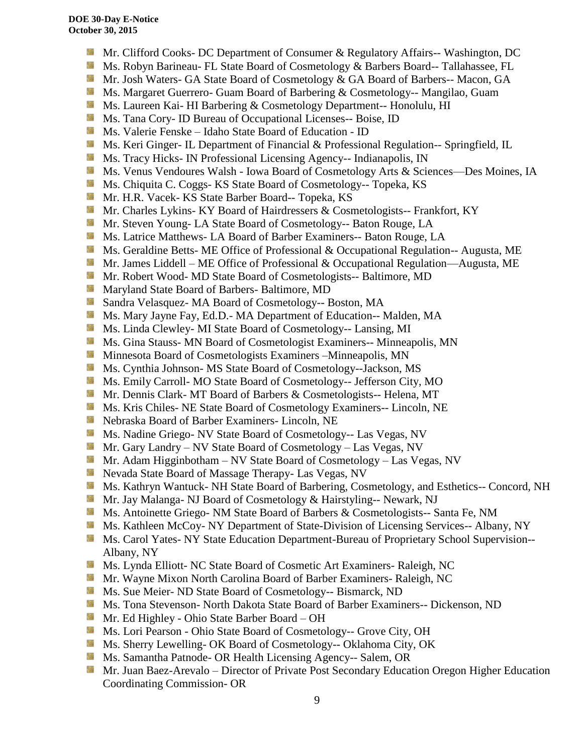- **Mr.** Clifford Cooks- DC Department of Consumer & Regulatory Affairs-- Washington, DC
- Ms. Robyn Barineau- FL State Board of Cosmetology & Barbers Board-- Tallahassee, FL
- Mr. Josh Waters- GA State Board of Cosmetology & GA Board of Barbers-- Macon, GA
- **Ms. Margaret Guerrero- Guam Board of Barbering & Cosmetology-- Mangilao, Guam**
- **Ms. Laureen Kai- HI Barbering & Cosmetology Department-- Honolulu, HI**
- **Ms.** Tana Cory- ID Bureau of Occupational Licenses-- Boise, ID
- Ms. Valerie Fenske Idaho State Board of Education ID
- **Ms. Keri Ginger- IL Department of Financial & Professional Regulation-- Springfield, IL**
- Side. Ms. Tracy Hicks- IN Professional Licensing Agency-- Indianapolis, IN
- Ms. Venus Vendoures Walsh Iowa Board of Cosmetology Arts & Sciences—Des Moines, IA
- **Ms.** Chiquita C. Coggs- KS State Board of Cosmetology-- Topeka, KS
- 56 Mr. H.R. Vacek- KS State Barber Board-- Topeka, KS
- Mr. Charles Lykins- KY Board of Hairdressers & Cosmetologists-- Frankfort, KY
- Mr. Steven Young- LA State Board of Cosmetology-- Baton Rouge, LA
- **Ms.** Latrice Matthews- LA Board of Barber Examiners-- Baton Rouge, LA
- **Ms.** Geraldine Betts- ME Office of Professional & Occupational Regulation-- Augusta, ME
- Mr. James Liddell ME Office of Professional & Occupational Regulation—Augusta, ME
- **Mr. Robert Wood- MD State Board of Cosmetologists-- Baltimore, MD**
- **Maryland State Board of Barbers- Baltimore, MD**
- Sandra Velasquez- MA Board of Cosmetology-- Boston, MA
- Ms. Mary Jayne Fay, Ed.D.- MA Department of Education-- Malden, MA
- Sila Ms. Linda Clewley- MI State Board of Cosmetology-- Lansing, MI
- **Ms.** Gina Stauss- MN Board of Cosmetologist Examiners-- Minneapolis, MN
- **M** Minnesota Board of Cosmetologists Examiners –Minneapolis, MN
- 59 Ms. Cynthia Johnson- MS State Board of Cosmetology--Jackson, MS
- Ms. Emily Carroll- MO State Board of Cosmetology-- Jefferson City, MO
- Mr. Dennis Clark- MT Board of Barbers & Cosmetologists-- Helena, MT
- Ms. Kris Chiles- NE State Board of Cosmetology Examiners-- Lincoln, NE
- Nebraska Board of Barber Examiners- Lincoln, NE
- **Ms. Nadine Griego- NV State Board of Cosmetology-- Las Vegas, NV**
- Mr. Gary Landry NV State Board of Cosmetology Las Vegas, NV
- **Mr.** Adam Higginbotham NV State Board of Cosmetology Las Vegas, NV
- **Nevada State Board of Massage Therapy- Las Vegas, NV**
- Ms. Kathryn Wantuck- NH State Board of Barbering, Cosmetology, and Esthetics-- Concord, NH
- Mr. Jay Malanga- NJ Board of Cosmetology & Hairstyling-- Newark, NJ
- Ms. Antoinette Griego- NM State Board of Barbers & Cosmetologists-- Santa Fe, NM
- **Ms. Kathleen McCoy- NY Department of State-Division of Licensing Services-- Albany, NY**
- **Ms. Carol Yates- NY State Education Department-Bureau of Proprietary School Supervision--**Albany, NY
- Ms. Lynda Elliott- NC State Board of Cosmetic Art Examiners- Raleigh, NC
- **Mr. Wayne Mixon North Carolina Board of Barber Examiners- Raleigh, NC**
- Ms. Sue Meier- ND State Board of Cosmetology-- Bismarck, ND
- Ms. Tona Stevenson- North Dakota State Board of Barber Examiners-- Dickenson, ND
- Mr. Ed Highley Ohio State Barber Board OH
- Ms. Lori Pearson Ohio State Board of Cosmetology-- Grove City, OH
- Ms. Sherry Lewelling- OK Board of Cosmetology-- Oklahoma City, OK
- **Ms. Samantha Patnode- OR Health Licensing Agency-- Salem, OR**
- **Mr. Juan Baez-Arevalo** Director of Private Post Secondary Education Oregon Higher Education Coordinating Commission- OR